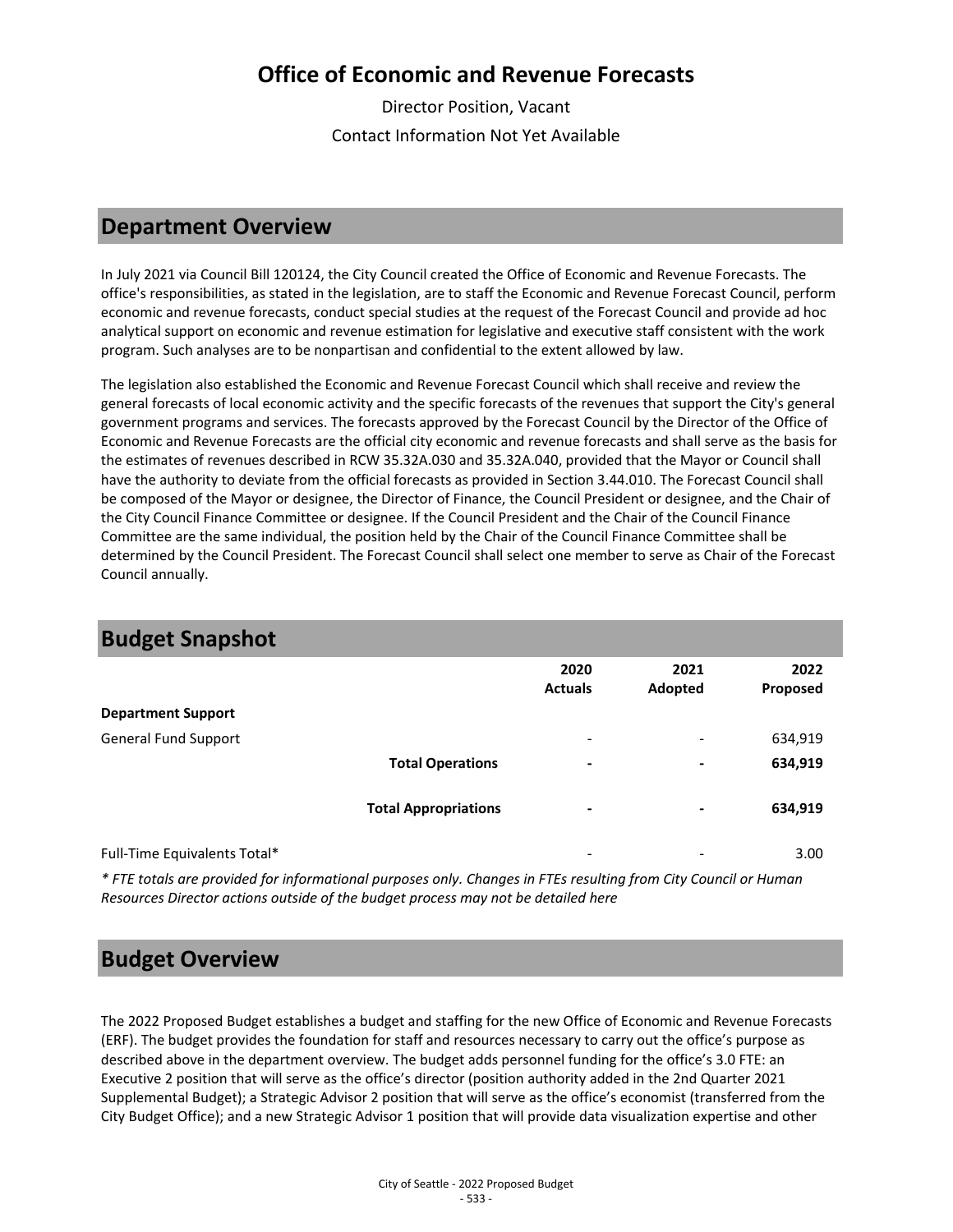# **Office of Economic and Revenue Forecasts**

Director Position, Vacant Contact Information Not Yet Available

## **Department Overview**

In July 2021 via Council Bill 120124, the City Council created the Office of Economic and Revenue Forecasts. The office's responsibilities, as stated in the legislation, are to staff the Economic and Revenue Forecast Council, perform economic and revenue forecasts, conduct special studies at the request of the Forecast Council and provide ad hoc analytical support on economic and revenue estimation for legislative and executive staff consistent with the work program. Such analyses are to be nonpartisan and confidential to the extent allowed by law.

The legislation also established the Economic and Revenue Forecast Council which shall receive and review the general forecasts of local economic activity and the specific forecasts of the revenues that support the City's general government programs and services. The forecasts approved by the Forecast Council by the Director of the Office of Economic and Revenue Forecasts are the official city economic and revenue forecasts and shall serve as the basis for the estimates of revenues described in RCW 35.32A.030 and 35.32A.040, provided that the Mayor or Council shall have the authority to deviate from the official forecasts as provided in Section 3.44.010. The Forecast Council shall be composed of the Mayor or designee, the Director of Finance, the Council President or designee, and the Chair of the City Council Finance Committee or designee. If the Council President and the Chair of the Council Finance Committee are the same individual, the position held by the Chair of the Council Finance Committee shall be determined by the Council President. The Forecast Council shall select one member to serve as Chair of the Forecast Council annually.

| <b>Budget Snapshot</b>       |                             |                          |                          |                  |
|------------------------------|-----------------------------|--------------------------|--------------------------|------------------|
|                              |                             | 2020<br><b>Actuals</b>   | 2021<br>Adopted          | 2022<br>Proposed |
| <b>Department Support</b>    |                             |                          |                          |                  |
| <b>General Fund Support</b>  |                             | $\overline{\phantom{a}}$ | $\overline{\phantom{0}}$ | 634,919          |
|                              | <b>Total Operations</b>     | ٠                        | ۰                        | 634,919          |
|                              | <b>Total Appropriations</b> | -                        | ۰                        | 634,919          |
| Full-Time Equivalents Total* |                             | $\overline{\phantom{a}}$ | -                        | 3.00             |

*\* FTE totals are provided for informational purposes only. Changes in FTEs resulting from City Council or Human Resources Director actions outside of the budget process may not be detailed here*

### **Budget Overview**

The 2022 Proposed Budget establishes a budget and staffing for the new Office of Economic and Revenue Forecasts (ERF). The budget provides the foundation for staff and resources necessary to carry out the office's purpose as described above in the department overview. The budget adds personnel funding for the office's 3.0 FTE: an Executive 2 position that will serve as the office's director (position authority added in the 2nd Quarter 2021 Supplemental Budget); a Strategic Advisor 2 position that will serve as the office's economist (transferred from the City Budget Office); and a new Strategic Advisor 1 position that will provide data visualization expertise and other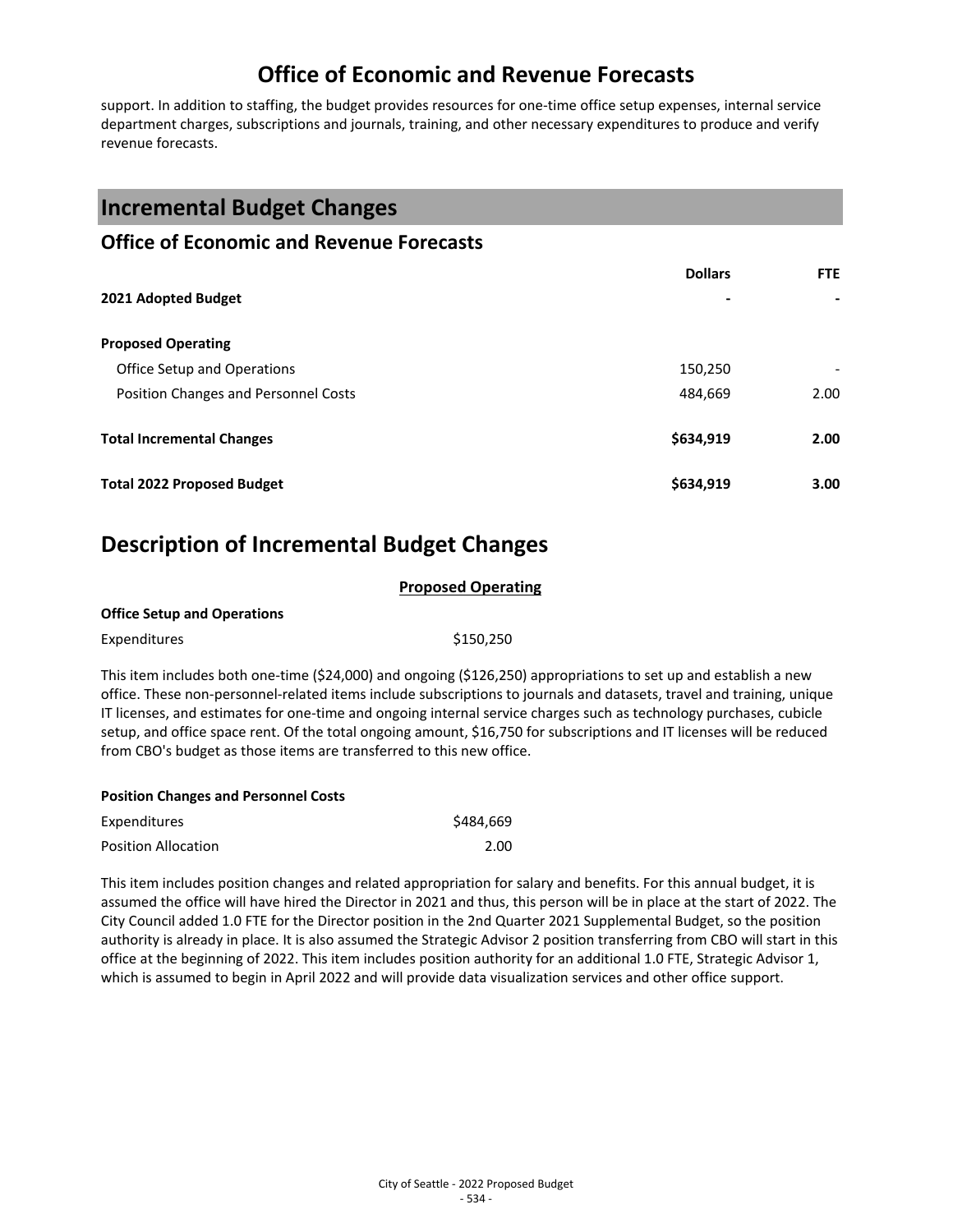# **Office of Economic and Revenue Forecasts**

support. In addition to staffing, the budget provides resources for one-time office setup expenses, internal service department charges, subscriptions and journals, training, and other necessary expenditures to produce and verify revenue forecasts.

### **Incremental Budget Changes**

#### **Office of Economic and Revenue Forecasts**

|                                      | <b>Dollars</b> | <b>FTE</b> |
|--------------------------------------|----------------|------------|
| 2021 Adopted Budget                  | -              | ۰          |
| <b>Proposed Operating</b>            |                |            |
| Office Setup and Operations          | 150,250        |            |
| Position Changes and Personnel Costs | 484,669        | 2.00       |
| <b>Total Incremental Changes</b>     | \$634,919      | 2.00       |
| <b>Total 2022 Proposed Budget</b>    | \$634,919      | 3.00       |

# **Description of Incremental Budget Changes**

| <b>Proposed Operating</b>          |                                                                                                                                                                                                                                                                                                                                                                 |  |  |
|------------------------------------|-----------------------------------------------------------------------------------------------------------------------------------------------------------------------------------------------------------------------------------------------------------------------------------------------------------------------------------------------------------------|--|--|
| <b>Office Setup and Operations</b> |                                                                                                                                                                                                                                                                                                                                                                 |  |  |
| <b>Expenditures</b>                | \$150.250                                                                                                                                                                                                                                                                                                                                                       |  |  |
|                                    | This item includes both one-time (\$24,000) and ongoing (\$126,250) appropriations to set up and establish a new<br>office. These non-personnel-related items include subscriptions to journals and datasets, travel and training, unique<br>IT licenses, and estimates for one-time and ongoing internal service charges such as technology purchases, cubicle |  |  |

IT licenses, and estimates for one-time and ongoing internal service charges such as technology purchases, cubicle setup, and office space rent. Of the total ongoing amount, \$16,750 for subscriptions and IT licenses will be reduced from CBO's budget as those items are transferred to this new office.

| <b>Position Changes and Personnel Costs</b> |           |
|---------------------------------------------|-----------|
| <b>Expenditures</b>                         | \$484,669 |
| <b>Position Allocation</b>                  | 2.00      |

This item includes position changes and related appropriation for salary and benefits. For this annual budget, it is assumed the office will have hired the Director in 2021 and thus, this person will be in place at the start of 2022. The City Council added 1.0 FTE for the Director position in the 2nd Quarter 2021 Supplemental Budget, so the position authority is already in place. It is also assumed the Strategic Advisor 2 position transferring from CBO will start in this office at the beginning of 2022. This item includes position authority for an additional 1.0 FTE, Strategic Advisor 1, which is assumed to begin in April 2022 and will provide data visualization services and other office support.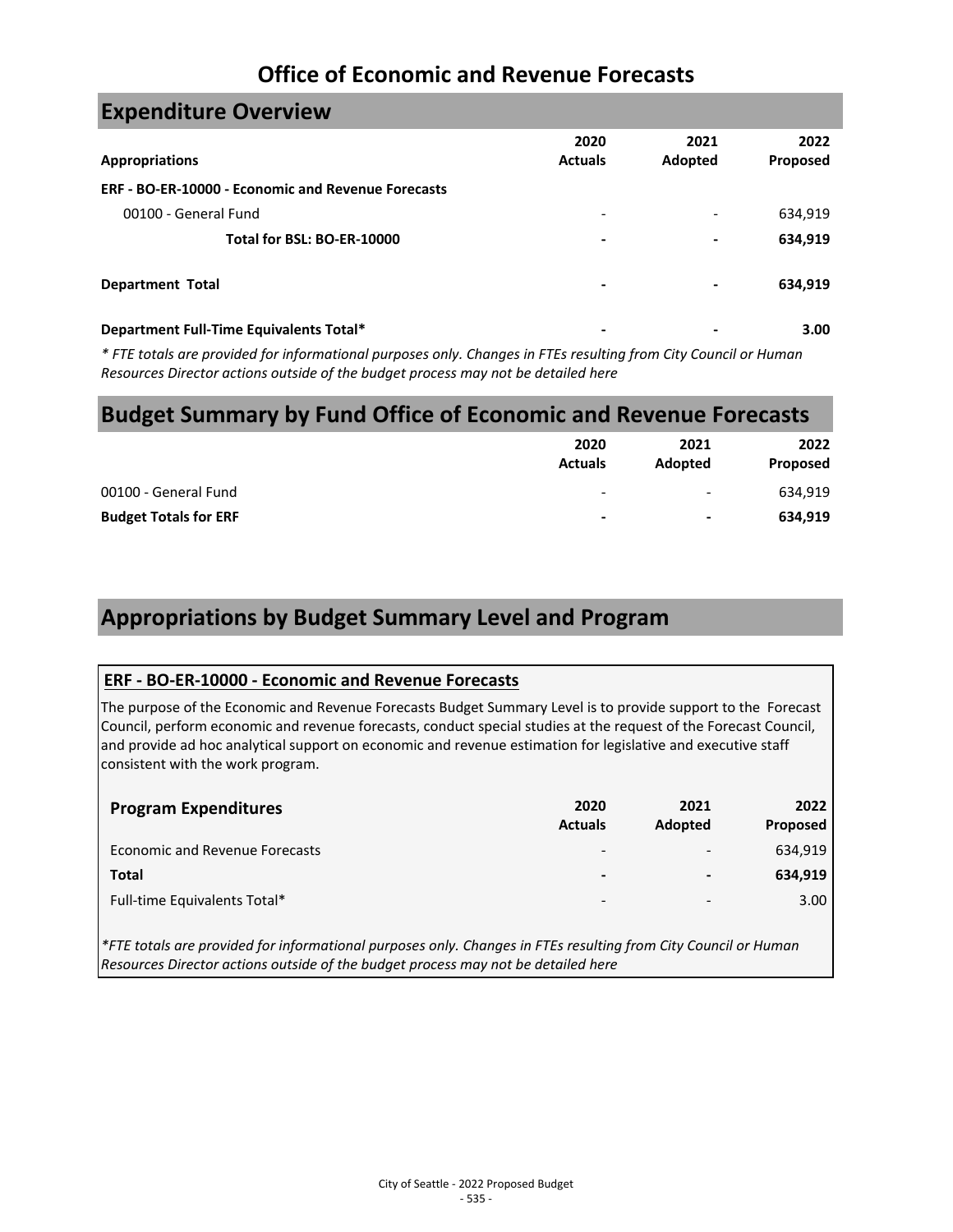# **Office of Economic and Revenue Forecasts**

| <b>Expenditure Overview</b>                               |                          |                          |                  |
|-----------------------------------------------------------|--------------------------|--------------------------|------------------|
| <b>Appropriations</b>                                     | 2020<br><b>Actuals</b>   | 2021<br>Adopted          | 2022<br>Proposed |
| <b>ERF - BO-ER-10000 - Economic and Revenue Forecasts</b> |                          |                          |                  |
| 00100 - General Fund                                      | $\overline{\phantom{0}}$ | $\overline{\phantom{a}}$ | 634,919          |
| Total for BSL: BO-ER-10000                                | ٠                        | $\blacksquare$           | 634,919          |
| <b>Department Total</b>                                   | -                        | $\overline{\phantom{a}}$ | 634,919          |
| Department Full-Time Equivalents Total*                   |                          | -                        | 3.00             |

*\* FTE totals are provided for informational purposes only. Changes in FTEs resulting from City Council or Human Resources Director actions outside of the budget process may not be detailed here*

#### **Budget Summary by Fund Office of Economic and Revenue Forecasts**

|                              | 2020<br><b>Actuals</b>   | 2021<br>Adopted | 2022<br>Proposed |
|------------------------------|--------------------------|-----------------|------------------|
| 00100 - General Fund         | ۰                        | -               | 634,919          |
| <b>Budget Totals for ERF</b> | $\overline{\phantom{a}}$ | -               | 634,919          |

# **Appropriations by Budget Summary Level and Program**

#### **ERF - BO-ER-10000 - Economic and Revenue Forecasts**

The purpose of the Economic and Revenue Forecasts Budget Summary Level is to provide support to the Forecast Council, perform economic and revenue forecasts, conduct special studies at the request of the Forecast Council, and provide ad hoc analytical support on economic and revenue estimation for legislative and executive staff consistent with the work program.

| <b>Program Expenditures</b>           | 2020<br><b>Actuals</b>   | 2021<br>Adopted          | 2022<br><b>Proposed</b> |
|---------------------------------------|--------------------------|--------------------------|-------------------------|
| <b>Economic and Revenue Forecasts</b> | $\overline{\phantom{0}}$ | $\overline{\phantom{0}}$ | 634,919                 |
| <b>Total</b>                          | ٠                        | $\blacksquare$           | 634,919                 |
| Full-time Equivalents Total*          | $\overline{\phantom{a}}$ | -                        | 3.00                    |

*\*FTE totals are provided for informational purposes only. Changes in FTEs resulting from City Council or Human Resources Director actions outside of the budget process may not be detailed here*